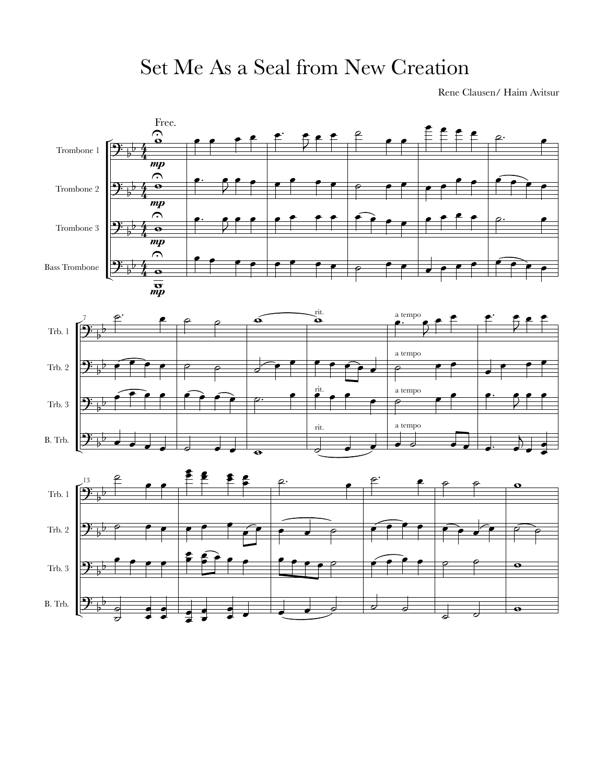### Set Me As a Seal from New Creation





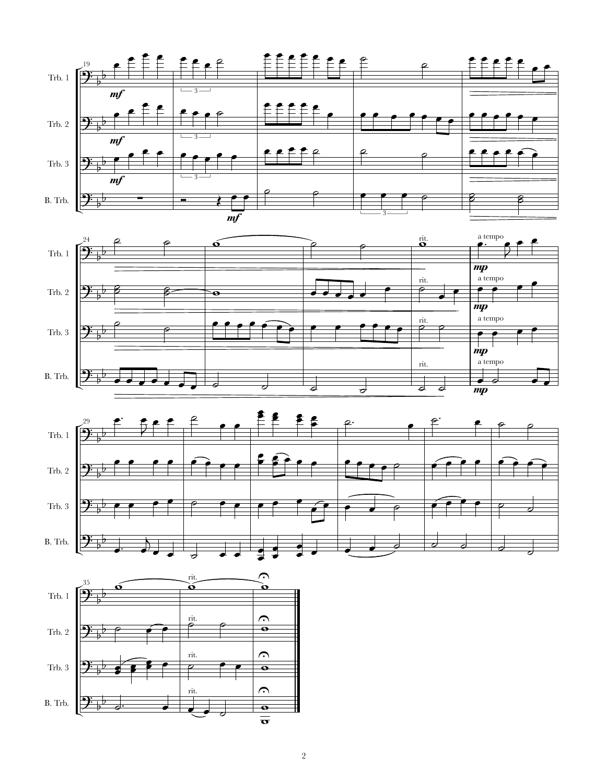





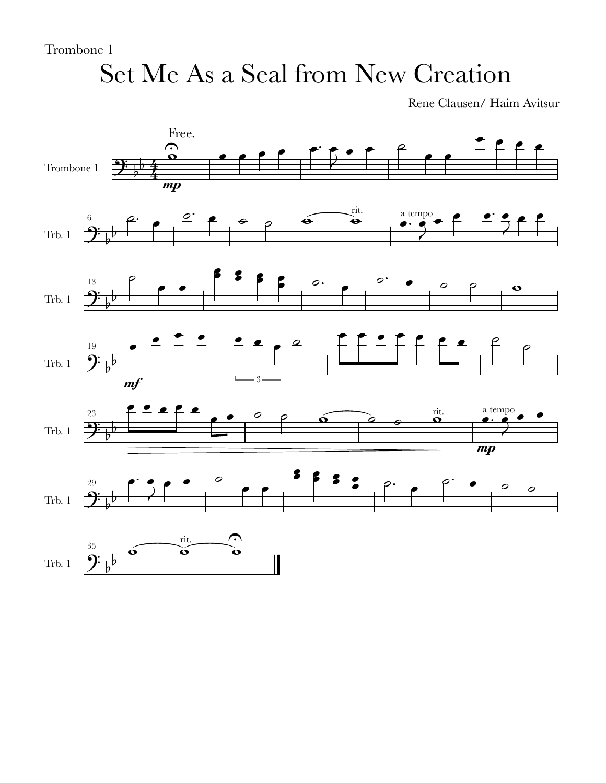Trombone 1

Set Me As a Seal from New Creation

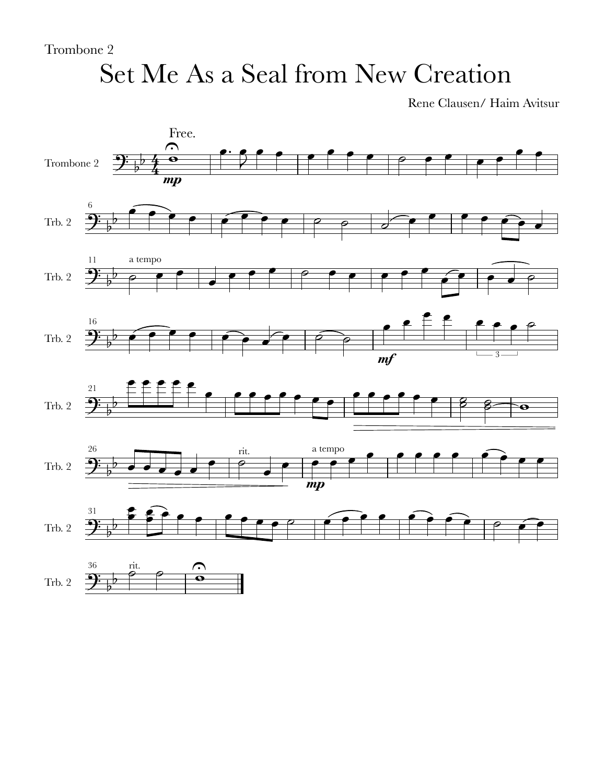#### Trombone 2

## Set Me As a Seal from New Creation

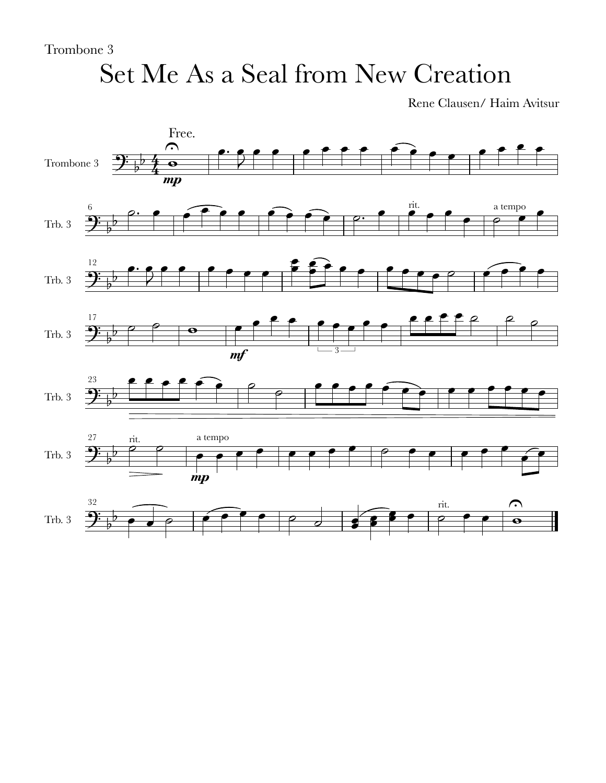#### Trombone 3

## Set Me As a Seal from New Creation